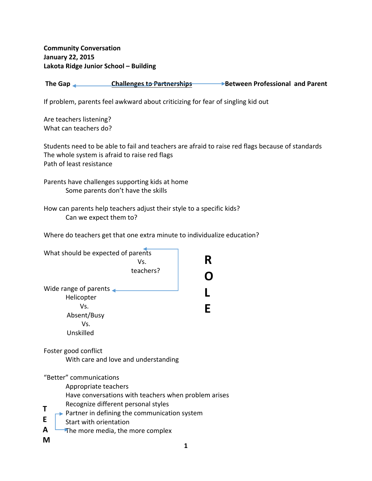**Community Conversation January 22, 2015 Lakota Ridge Junior School – Building**

**The Gap Challenges to Partnerships Between Professional and Parent**

If problem, parents feel awkward about criticizing for fear of singling kid out

Are teachers listening? What can teachers do?

Students need to be able to fail and teachers are afraid to raise red flags because of standards The whole system is afraid to raise red flags Path of least resistance

Parents have challenges supporting kids at home Some parents don't have the skills

How can parents help teachers adjust their style to a specific kids? Can we expect them to?

Where do teachers get that one extra minute to individualize education?

| What should be expected of parents<br>Vs.<br>teachers?                                                                                                                                                                                                                             | R |
|------------------------------------------------------------------------------------------------------------------------------------------------------------------------------------------------------------------------------------------------------------------------------------|---|
| Wide range of parents $\triangleleft$<br>Helicopter<br>Vs.<br>Absent/Busy<br>Vs.<br>Unskilled                                                                                                                                                                                      | F |
| Foster good conflict<br>With care and love and understanding                                                                                                                                                                                                                       |   |
| "Better" communications<br>Appropriate teachers<br>Have conversations with teachers when problem arises<br>Recognize different personal styles<br>Τ<br>▶ Partner in defining the communication system<br>E<br>Start with orientation<br>A<br>The more media, the more complex<br>м |   |
|                                                                                                                                                                                                                                                                                    |   |